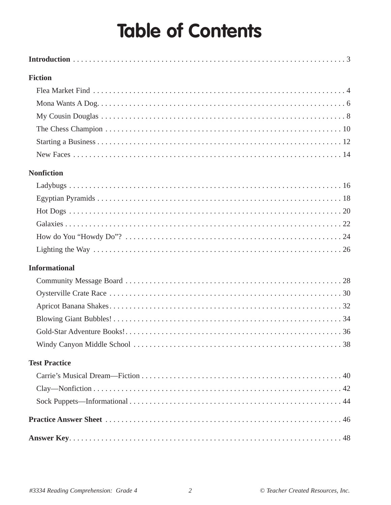## **Table of Contents**

| <b>Fiction</b>       |  |
|----------------------|--|
|                      |  |
|                      |  |
|                      |  |
|                      |  |
|                      |  |
|                      |  |
| <b>Nonfiction</b>    |  |
|                      |  |
|                      |  |
|                      |  |
|                      |  |
|                      |  |
|                      |  |
| <b>Informational</b> |  |
|                      |  |
|                      |  |
|                      |  |
|                      |  |
|                      |  |
|                      |  |
| <b>Test Practice</b> |  |
|                      |  |
|                      |  |
|                      |  |
|                      |  |
|                      |  |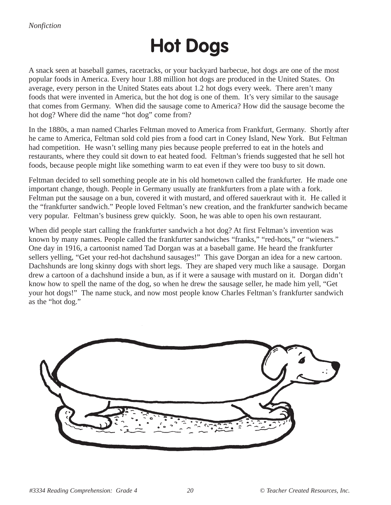## **Hot Dogs**

A snack seen at baseball games, racetracks, or your backyard barbecue, hot dogs are one of the most popular foods in America. Every hour 1.88 million hot dogs are produced in the United States. On average, every person in the United States eats about 1.2 hot dogs every week. There aren't many foods that were invented in America, but the hot dog is one of them. It's very similar to the sausage that comes from Germany. When did the sausage come to America? How did the sausage become the hot dog? Where did the name "hot dog" come from?

In the 1880s, a man named Charles Feltman moved to America from Frankfurt, Germany. Shortly after he came to America, Feltman sold cold pies from a food cart in Coney Island, New York. But Feltman had competition. He wasn't selling many pies because people preferred to eat in the hotels and restaurants, where they could sit down to eat heated food. Feltman's friends suggested that he sell hot foods, because people might like something warm to eat even if they were too busy to sit down.

Feltman decided to sell something people ate in his old hometown called the frankfurter. He made one important change, though. People in Germany usually ate frankfurters from a plate with a fork. Feltman put the sausage on a bun, covered it with mustard, and offered sauerkraut with it. He called it the "frankfurter sandwich." People loved Feltman's new creation, and the frankfurter sandwich became very popular. Feltman's business grew quickly. Soon, he was able to open his own restaurant.

When did people start calling the frankfurter sandwich a hot dog? At first Feltman's invention was known by many names. People called the frankfurter sandwiches "franks," "red-hots," or "wieners." One day in 1916, a cartoonist named Tad Dorgan was at a baseball game. He heard the frankfurter sellers yelling, "Get your red-hot dachshund sausages!" This gave Dorgan an idea for a new cartoon. Dachshunds are long skinny dogs with short legs. They are shaped very much like a sausage. Dorgan drew a cartoon of a dachshund inside a bun, as if it were a sausage with mustard on it. Dorgan didn't know how to spell the name of the dog, so when he drew the sausage seller, he made him yell, "Get your hot dogs!" The name stuck, and now most people know Charles Feltman's frankfurter sandwich as the "hot dog."